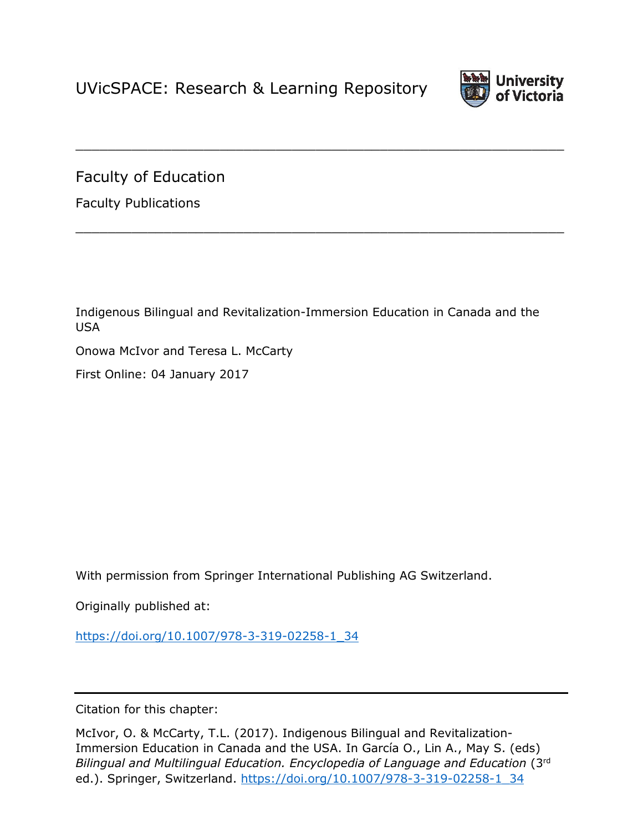

Faculty of Education

Faculty Publications

Indigenous Bilingual and Revitalization-Immersion Education in Canada and the USA

\_\_\_\_\_\_\_\_\_\_\_\_\_\_\_\_\_\_\_\_\_\_\_\_\_\_\_\_\_\_\_\_\_\_\_\_\_\_\_\_\_\_\_\_\_\_\_\_\_\_\_\_\_\_\_\_\_\_\_\_\_

\_\_\_\_\_\_\_\_\_\_\_\_\_\_\_\_\_\_\_\_\_\_\_\_\_\_\_\_\_\_\_\_\_\_\_\_\_\_\_\_\_\_\_\_\_\_\_\_\_\_\_\_\_\_\_\_\_\_\_\_\_

Onowa McIvor and Teresa L. McCarty

First Online: 04 January 2017

With permission from Springer International Publishing AG Switzerland.

Originally published at:

[https://doi.org/10.1007/978-3-319-02258-1\\_34](https://doi.org/10.1007/978-3-319-02258-1_34)

Citation for this chapter:

McIvor, O. & McCarty, T.L. (2017). Indigenous Bilingual and Revitalization-Immersion Education in Canada and the USA. In García O., Lin A., May S. (eds) *Bilingual and Multilingual Education. Encyclopedia of Language and Education* (3rd ed.). Springer, Switzerland. [https://doi.org/10.1007/978-3-319-02258-1\\_34](https://doi.org/10.1007/978-3-319-02258-1_34)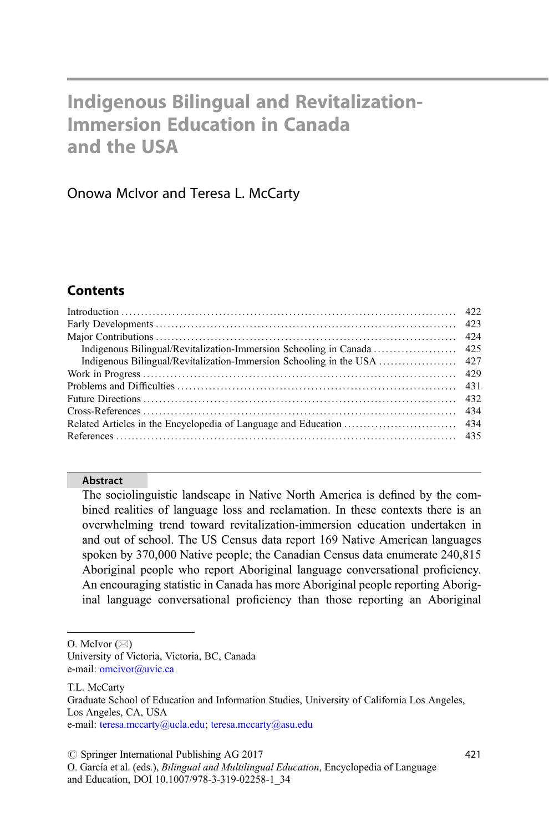# Indigenous Bilingual and Revitalization-Immersion Education in Canada and the USA

# Onowa McIvor and Teresa L. McCarty

## **Contents**

#### Abstract

The sociolinguistic landscape in Native North America is defined by the combined realities of language loss and reclamation. In these contexts there is an overwhelming trend toward revitalization-immersion education undertaken in and out of school. The US Census data report 169 Native American languages spoken by 370,000 Native people; the Canadian Census data enumerate 240,815 Aboriginal people who report Aboriginal language conversational proficiency. An encouraging statistic in Canada has more Aboriginal people reporting Aboriginal language conversational proficiency than those reporting an Aboriginal

O. McIvor  $(\boxtimes)$ 

University of Victoria, Victoria, BC, Canada e-mail: [omcivor@uvic.ca](mailto:omcivor@uvic.ca)

T.L. McCarty

Graduate School of Education and Information Studies, University of California Los Angeles, Los Angeles, CA, USA e-mail: [teresa.mccarty@ucla.edu](mailto:teresa.mccarty@ucla.edu); [teresa.mccarty@asu.edu](mailto:teresa.mccarty@asu.edu)

 $\oslash$  Springer International Publishing AG 2017

O. García et al. (eds.), Bilingual and Multilingual Education, Encyclopedia of Language and Education, DOI 10.1007/978-3-319-02258-1\_34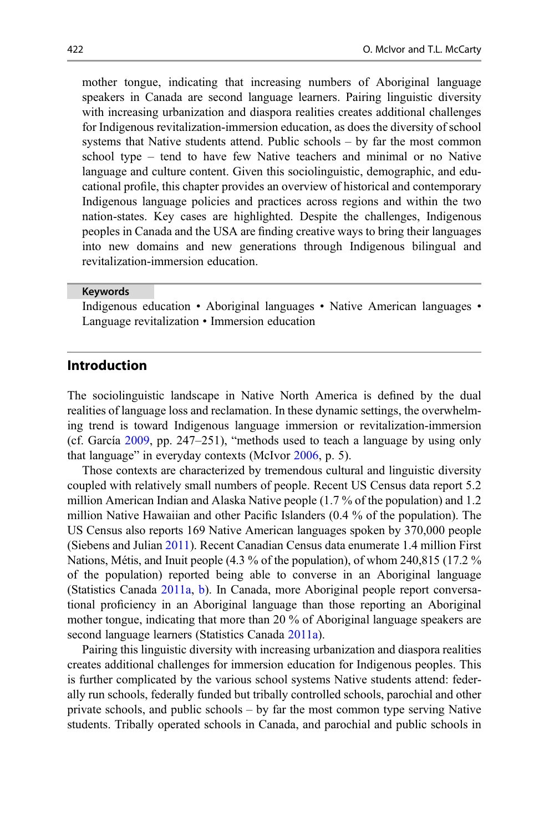mother tongue, indicating that increasing numbers of Aboriginal language speakers in Canada are second language learners. Pairing linguistic diversity with increasing urbanization and diaspora realities creates additional challenges for Indigenous revitalization-immersion education, as does the diversity of school systems that Native students attend. Public schools – by far the most common school type – tend to have few Native teachers and minimal or no Native language and culture content. Given this sociolinguistic, demographic, and educational profile, this chapter provides an overview of historical and contemporary Indigenous language policies and practices across regions and within the two nation-states. Key cases are highlighted. Despite the challenges, Indigenous peoples in Canada and the USA are finding creative ways to bring their languages into new domains and new generations through Indigenous bilingual and revitalization-immersion education.

#### Keywords

Indigenous education • Aboriginal languages • Native American languages • Language revitalization • Immersion education

## Introduction

The sociolinguistic landscape in Native North America is defined by the dual realities of language loss and reclamation. In these dynamic settings, the overwhelming trend is toward Indigenous language immersion or revitalization-immersion (cf. García [2009,](#page-16-0) pp. 247–251), "methods used to teach a language by using only that language" in everyday contexts (McIvor [2006](#page-17-0), p. 5).

Those contexts are characterized by tremendous cultural and linguistic diversity coupled with relatively small numbers of people. Recent US Census data report 5.2 million American Indian and Alaska Native people (1.7 % of the population) and 1.2 million Native Hawaiian and other Pacific Islanders (0.4 % of the population). The US Census also reports 169 Native American languages spoken by 370,000 people (Siebens and Julian [2011](#page-17-0)). Recent Canadian Census data enumerate 1.4 million First Nations, Métis, and Inuit people (4.3 % of the population), of whom 240,815 (17.2 % of the population) reported being able to converse in an Aboriginal language (Statistics Canada [2011a](#page-17-0), [b](#page-17-0)). In Canada, more Aboriginal people report conversational proficiency in an Aboriginal language than those reporting an Aboriginal mother tongue, indicating that more than 20 % of Aboriginal language speakers are second language learners (Statistics Canada [2011a\)](#page-17-0).

Pairing this linguistic diversity with increasing urbanization and diaspora realities creates additional challenges for immersion education for Indigenous peoples. This is further complicated by the various school systems Native students attend: federally run schools, federally funded but tribally controlled schools, parochial and other private schools, and public schools – by far the most common type serving Native students. Tribally operated schools in Canada, and parochial and public schools in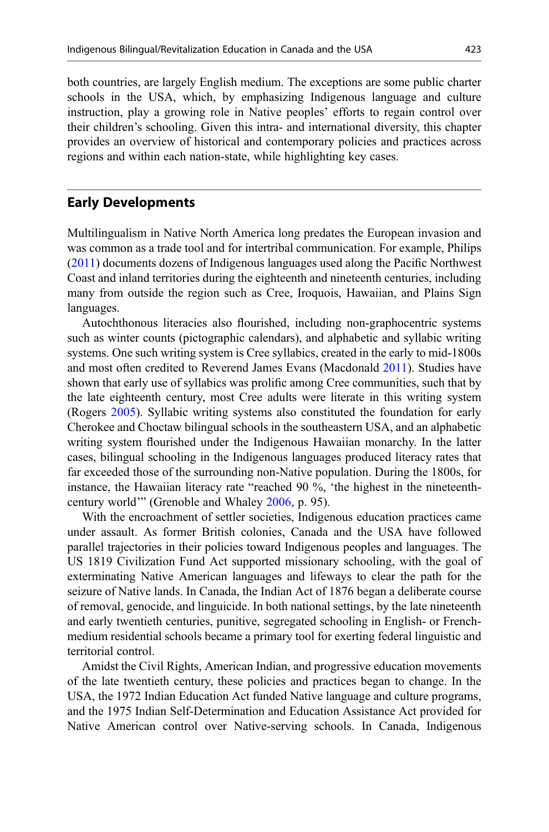both countries, are largely English medium. The exceptions are some public charter schools in the USA, which, by emphasizing Indigenous language and culture instruction, play a growing role in Native peoples' efforts to regain control over their children's schooling. Given this intra- and international diversity, this chapter provides an overview of historical and contemporary policies and practices across regions and within each nation-state, while highlighting key cases.

#### Early Developments

Multilingualism in Native North America long predates the European invasion and was common as a trade tool and for intertribal communication. For example, Philips [\(2011\)](#page-17-0) documents dozens of Indigenous languages used along the Pacific Northwest Coast and inland territories during the eighteenth and nineteenth centuries, including many from outside the region such as Cree, Iroquois, Hawaiian, and Plains Sign languages.

Autochthonous literacies also flourished, including non-graphocentric systems such as winter counts (pictographic calendars), and alphabetic and syllabic writing systems. One such writing system is Cree syllabics, created in the early to mid-1800s and most often credited to Reverend James Evans (Macdonald [2011](#page-16-0)). Studies have shown that early use of syllabics was prolific among Cree communities, such that by the late eighteenth century, most Cree adults were literate in this writing system (Rogers [2005\)](#page-17-0). Syllabic writing systems also constituted the foundation for early Cherokee and Choctaw bilingual schools in the southeastern USA, and an alphabetic writing system flourished under the Indigenous Hawaiian monarchy. In the latter cases, bilingual schooling in the Indigenous languages produced literacy rates that far exceeded those of the surrounding non-Native population. During the 1800s, for instance, the Hawaiian literacy rate "reached 90 %, 'the highest in the nineteenthcentury world'" (Grenoble and Whaley [2006](#page-16-0), p. 95).

With the encroachment of settler societies, Indigenous education practices came under assault. As former British colonies, Canada and the USA have followed parallel trajectories in their policies toward Indigenous peoples and languages. The US 1819 Civilization Fund Act supported missionary schooling, with the goal of exterminating Native American languages and lifeways to clear the path for the seizure of Native lands. In Canada, the Indian Act of 1876 began a deliberate course of removal, genocide, and linguicide. In both national settings, by the late nineteenth and early twentieth centuries, punitive, segregated schooling in English- or Frenchmedium residential schools became a primary tool for exerting federal linguistic and territorial control.

Amidst the Civil Rights, American Indian, and progressive education movements of the late twentieth century, these policies and practices began to change. In the USA, the 1972 Indian Education Act funded Native language and culture programs, and the 1975 Indian Self-Determination and Education Assistance Act provided for Native American control over Native-serving schools. In Canada, Indigenous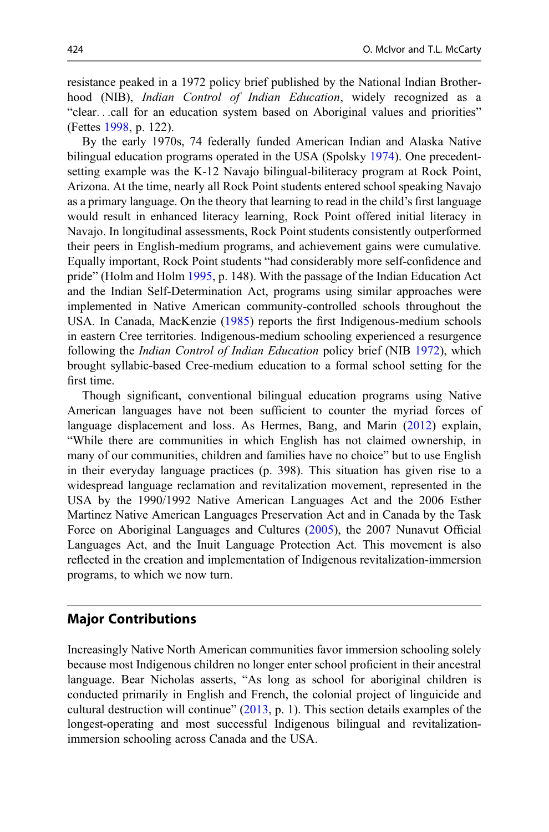resistance peaked in a 1972 policy brief published by the National Indian Brotherhood (NIB), Indian Control of Indian Education, widely recognized as a "clear...call for an education system based on Aboriginal values and priorities" (Fettes [1998](#page-15-0), p. 122).

By the early 1970s, 74 federally funded American Indian and Alaska Native bilingual education programs operated in the USA (Spolsky [1974](#page-17-0)). One precedentsetting example was the K-12 Navajo bilingual-biliteracy program at Rock Point, Arizona. At the time, nearly all Rock Point students entered school speaking Navajo as a primary language. On the theory that learning to read in the child's first language would result in enhanced literacy learning, Rock Point offered initial literacy in Navajo. In longitudinal assessments, Rock Point students consistently outperformed their peers in English-medium programs, and achievement gains were cumulative. Equally important, Rock Point students "had considerably more self-confidence and pride" (Holm and Holm [1995](#page-16-0), p. 148). With the passage of the Indian Education Act and the Indian Self-Determination Act, programs using similar approaches were implemented in Native American community-controlled schools throughout the USA. In Canada, MacKenzie ([1985\)](#page-16-0) reports the first Indigenous-medium schools in eastern Cree territories. Indigenous-medium schooling experienced a resurgence following the Indian Control of Indian Education policy brief (NIB [1972](#page-17-0)), which brought syllabic-based Cree-medium education to a formal school setting for the first time.

Though significant, conventional bilingual education programs using Native American languages have not been sufficient to counter the myriad forces of language displacement and loss. As Hermes, Bang, and Marin ([2012\)](#page-16-0) explain, "While there are communities in which English has not claimed ownership, in many of our communities, children and families have no choice" but to use English in their everyday language practices (p. 398). This situation has given rise to a widespread language reclamation and revitalization movement, represented in the USA by the 1990/1992 Native American Languages Act and the 2006 Esther Martinez Native American Languages Preservation Act and in Canada by the Task Force on Aboriginal Languages and Cultures [\(2005](#page-17-0)), the 2007 Nunavut Official Languages Act, and the Inuit Language Protection Act. This movement is also reflected in the creation and implementation of Indigenous revitalization-immersion programs, to which we now turn.

#### Major Contributions

Increasingly Native North American communities favor immersion schooling solely because most Indigenous children no longer enter school proficient in their ancestral language. Bear Nicholas asserts, "As long as school for aboriginal children is conducted primarily in English and French, the colonial project of linguicide and cultural destruction will continue"  $(2013, p. 1)$  $(2013, p. 1)$ . This section details examples of the longest-operating and most successful Indigenous bilingual and revitalizationimmersion schooling across Canada and the USA.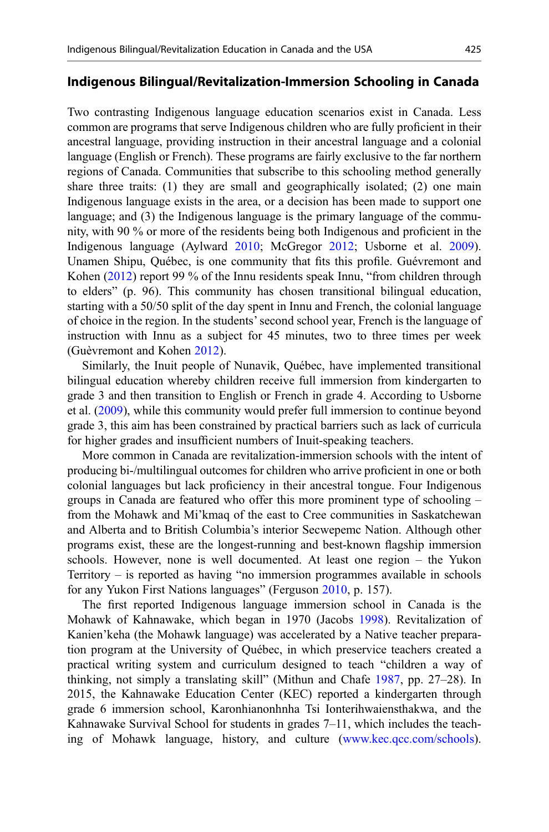#### Indigenous Bilingual/Revitalization-Immersion Schooling in Canada

Two contrasting Indigenous language education scenarios exist in Canada. Less common are programs that serve Indigenous children who are fully proficient in their ancestral language, providing instruction in their ancestral language and a colonial language (English or French). These programs are fairly exclusive to the far northern regions of Canada. Communities that subscribe to this schooling method generally share three traits:  $(1)$  they are small and geographically isolated;  $(2)$  one main Indigenous language exists in the area, or a decision has been made to support one language; and (3) the Indigenous language is the primary language of the community, with 90 % or more of the residents being both Indigenous and proficient in the Indigenous language (Aylward [2010](#page-15-0); McGregor [2012;](#page-17-0) Usborne et al. [2009\)](#page-17-0). Unamen Shipu, Québec, is one community that fits this profile. Guévremont and Kohen [\(2012](#page-16-0)) report 99 % of the Innu residents speak Innu, "from children through to elders" (p. 96). This community has chosen transitional bilingual education, starting with a 50/50 split of the day spent in Innu and French, the colonial language of choice in the region. In the students'second school year, French is the language of instruction with Innu as a subject for 45 minutes, two to three times per week (Guèvremont and Kohen [2012\)](#page-16-0).

Similarly, the Inuit people of Nunavik, Québec, have implemented transitional bilingual education whereby children receive full immersion from kindergarten to grade 3 and then transition to English or French in grade 4. According to Usborne et al. ([2009\)](#page-17-0), while this community would prefer full immersion to continue beyond grade 3, this aim has been constrained by practical barriers such as lack of curricula for higher grades and insufficient numbers of Inuit-speaking teachers.

More common in Canada are revitalization-immersion schools with the intent of producing bi-/multilingual outcomes for children who arrive proficient in one or both colonial languages but lack proficiency in their ancestral tongue. Four Indigenous groups in Canada are featured who offer this more prominent type of schooling – from the Mohawk and Mi'kmaq of the east to Cree communities in Saskatchewan and Alberta and to British Columbia's interior Secwepemc Nation. Although other programs exist, these are the longest-running and best-known flagship immersion schools. However, none is well documented. At least one region – the Yukon Territory – is reported as having "no immersion programmes available in schools for any Yukon First Nations languages" (Ferguson [2010](#page-15-0), p. 157).

The first reported Indigenous language immersion school in Canada is the Mohawk of Kahnawake, which began in 1970 (Jacobs [1998](#page-16-0)). Revitalization of Kanien'keha (the Mohawk language) was accelerated by a Native teacher preparation program at the University of Québec, in which preservice teachers created a practical writing system and curriculum designed to teach "children a way of thinking, not simply a translating skill" (Mithun and Chafe [1987](#page-17-0), pp. 27–28). In 2015, the Kahnawake Education Center (KEC) reported a kindergarten through grade 6 immersion school, Karonhianonhnha Tsi Ionterihwaiensthakwa, and the Kahnawake Survival School for students in grades 7–11, which includes the teaching of Mohawk language, history, and culture [\(www.kec.qcc.com/schools\)](http://www.kec.qcc.com/schools).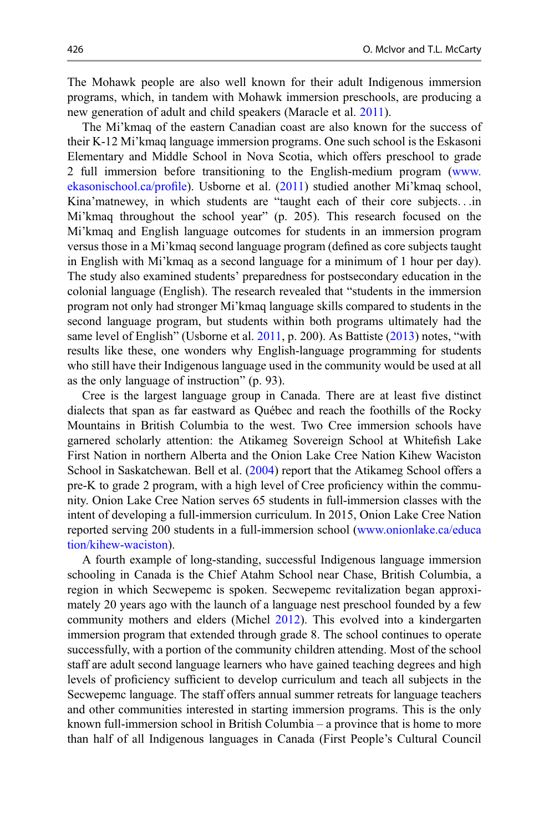The Mohawk people are also well known for their adult Indigenous immersion programs, which, in tandem with Mohawk immersion preschools, are producing a new generation of adult and child speakers (Maracle et al. [2011\)](#page-16-0).

The Mi'kmaq of the eastern Canadian coast are also known for the success of their K-12 Mi'kmaq language immersion programs. One such school is the Eskasoni Elementary and Middle School in Nova Scotia, which offers preschool to grade 2 full immersion before transitioning to the English-medium program [\(www.](http://www.ekasonischool.ca/profile) [ekasonischool.ca/pro](http://www.ekasonischool.ca/profile)file). Usborne et al. [\(2011\)](#page-17-0) studied another Mi'kmaq school, Kina'matnewey, in which students are "taught each of their core subjects...in Mi'kmaq throughout the school year" (p. 205). This research focused on the Mi'kmaq and English language outcomes for students in an immersion program versus those in a Mi'kmaq second language program (defined as core subjects taught in English with Mi'kmaq as a second language for a minimum of 1 hour per day). The study also examined students' preparedness for postsecondary education in the colonial language (English). The research revealed that "students in the immersion program not only had stronger Mi'kmaq language skills compared to students in the second language program, but students within both programs ultimately had the same level of English" (Usborne et al. [2011,](#page-17-0) p. 200). As Battiste [\(2013](#page-15-0)) notes, "with results like these, one wonders why English-language programming for students who still have their Indigenous language used in the community would be used at all as the only language of instruction" (p. 93).

Cree is the largest language group in Canada. There are at least five distinct dialects that span as far eastward as Québec and reach the foothills of the Rocky Mountains in British Columbia to the west. Two Cree immersion schools have garnered scholarly attention: the Atikameg Sovereign School at Whitefish Lake First Nation in northern Alberta and the Onion Lake Cree Nation Kihew Waciston School in Saskatchewan. Bell et al. ([2004\)](#page-15-0) report that the Atikameg School offers a pre-K to grade 2 program, with a high level of Cree proficiency within the community. Onion Lake Cree Nation serves 65 students in full-immersion classes with the intent of developing a full-immersion curriculum. In 2015, Onion Lake Cree Nation reported serving 200 students in a full-immersion school ([www.onionlake.ca/educa](http://www.onionlake.ca/education/kihew-waciston) [tion/kihew-waciston\)](http://www.onionlake.ca/education/kihew-waciston).

A fourth example of long-standing, successful Indigenous language immersion schooling in Canada is the Chief Atahm School near Chase, British Columbia, a region in which Secwepemc is spoken. Secwepemc revitalization began approximately 20 years ago with the launch of a language nest preschool founded by a few community mothers and elders (Michel [2012\)](#page-17-0). This evolved into a kindergarten immersion program that extended through grade 8. The school continues to operate successfully, with a portion of the community children attending. Most of the school staff are adult second language learners who have gained teaching degrees and high levels of proficiency sufficient to develop curriculum and teach all subjects in the Secwepemc language. The staff offers annual summer retreats for language teachers and other communities interested in starting immersion programs. This is the only known full-immersion school in British Columbia – a province that is home to more than half of all Indigenous languages in Canada (First People's Cultural Council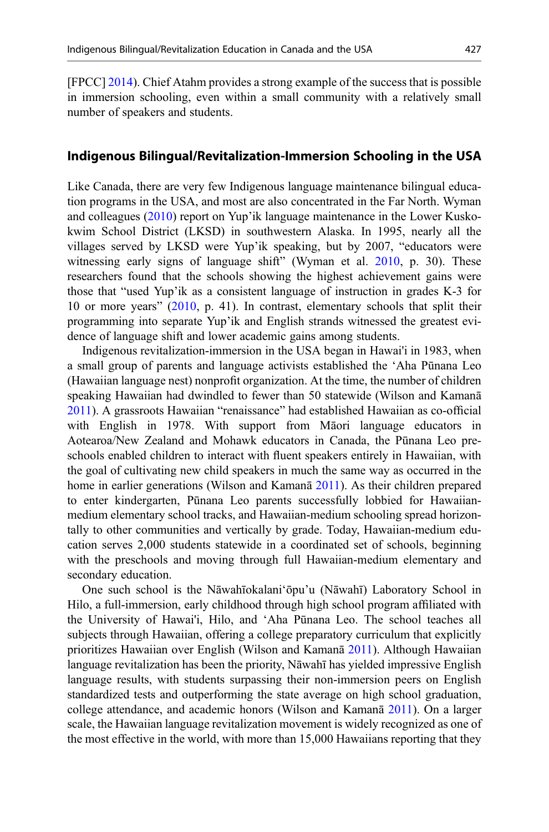[FPCC] [2014\)](#page-15-0). Chief Atahm provides a strong example of the success that is possible in immersion schooling, even within a small community with a relatively small number of speakers and students.

#### Indigenous Bilingual/Revitalization-Immersion Schooling in the USA

Like Canada, there are very few Indigenous language maintenance bilingual education programs in the USA, and most are also concentrated in the Far North. Wyman and colleagues [\(2010](#page-18-0)) report on Yup'ik language maintenance in the Lower Kuskokwim School District (LKSD) in southwestern Alaska. In 1995, nearly all the villages served by LKSD were Yup'ik speaking, but by 2007, "educators were witnessing early signs of language shift" (Wyman et al. [2010](#page-18-0), p. 30). These researchers found that the schools showing the highest achievement gains were those that "used Yup'ik as a consistent language of instruction in grades K-3 for 10 or more years" [\(2010](#page-18-0), p. 41). In contrast, elementary schools that split their programming into separate Yup'ik and English strands witnessed the greatest evidence of language shift and lower academic gains among students.

Indigenous revitalization-immersion in the USA began in Hawai'i in 1983, when a small group of parents and language activists established the 'Aha Pūnana Leo (Hawaiian language nest) nonprofit organization. At the time, the number of children speaking Hawaiian had dwindled to fewer than 50 statewide (Wilson and Kamanā [2011\)](#page-17-0). A grassroots Hawaiian "renaissance" had established Hawaiian as co-official with English in 1978. With support from Māori language educators in Aotearoa/New Zealand and Mohawk educators in Canada, the Pūnana Leo preschools enabled children to interact with fluent speakers entirely in Hawaiian, with the goal of cultivating new child speakers in much the same way as occurred in the home in earlier generations (Wilson and Kamanā [2011](#page-17-0)). As their children prepared to enter kindergarten, Pūnana Leo parents successfully lobbied for Hawaiianmedium elementary school tracks, and Hawaiian-medium schooling spread horizontally to other communities and vertically by grade. Today, Hawaiian-medium education serves 2,000 students statewide in a coordinated set of schools, beginning with the preschools and moving through full Hawaiian-medium elementary and secondary education.

One such school is the Nāwahīokalani'ōpu'u (Nāwahī) Laboratory School in Hilo, a full-immersion, early childhood through high school program affiliated with the University of Hawai'i, Hilo, and 'Aha Pūnana Leo. The school teaches all subjects through Hawaiian, offering a college preparatory curriculum that explicitly prioritizes Hawaiian over English (Wilson and Kamanā [2011](#page-17-0)). Although Hawaiian language revitalization has been the priority, Nāwahī has yielded impressive English language results, with students surpassing their non-immersion peers on English standardized tests and outperforming the state average on high school graduation, college attendance, and academic honors (Wilson and Kamanā [2011\)](#page-17-0). On a larger scale, the Hawaiian language revitalization movement is widely recognized as one of the most effective in the world, with more than 15,000 Hawaiians reporting that they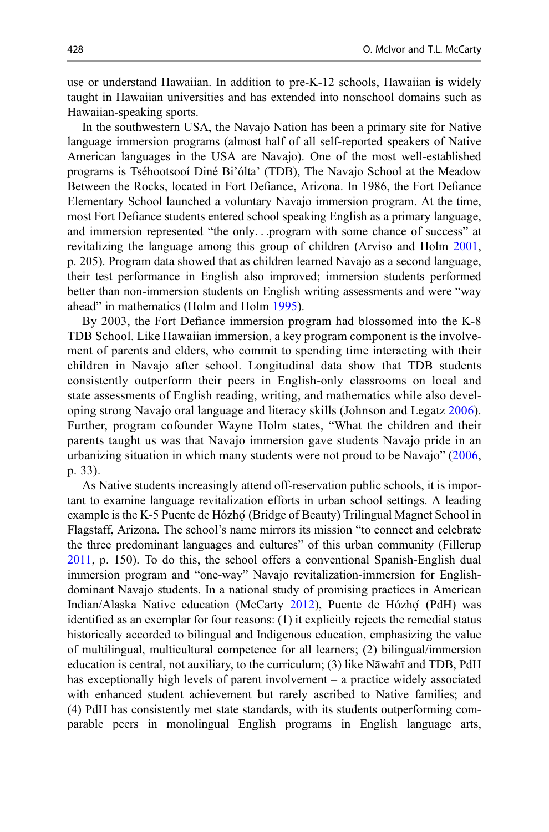use or understand Hawaiian. In addition to pre-K-12 schools, Hawaiian is widely taught in Hawaiian universities and has extended into nonschool domains such as Hawaiian-speaking sports.

In the southwestern USA, the Navajo Nation has been a primary site for Native language immersion programs (almost half of all self-reported speakers of Native American languages in the USA are Navajo). One of the most well-established programs is Tséhootsooí Diné Bi'ólta' (TDB), The Navajo School at the Meadow Between the Rocks, located in Fort Defiance, Arizona. In 1986, the Fort Defiance Elementary School launched a voluntary Navajo immersion program. At the time, most Fort Defiance students entered school speaking English as a primary language, and immersion represented "the only...program with some chance of success" at revitalizing the language among this group of children (Arviso and Holm [2001](#page-15-0), p. 205). Program data showed that as children learned Navajo as a second language, their test performance in English also improved; immersion students performed better than non-immersion students on English writing assessments and were "way ahead" in mathematics (Holm and Holm [1995](#page-16-0)).

By 2003, the Fort Defiance immersion program had blossomed into the K-8 TDB School. Like Hawaiian immersion, a key program component is the involvement of parents and elders, who commit to spending time interacting with their children in Navajo after school. Longitudinal data show that TDB students consistently outperform their peers in English-only classrooms on local and state assessments of English reading, writing, and mathematics while also developing strong Navajo oral language and literacy skills (Johnson and Legatz [2006\)](#page-16-0). Further, program cofounder Wayne Holm states, "What the children and their parents taught us was that Navajo immersion gave students Navajo pride in an urbanizing situation in which many students were not proud to be Navajo" [\(2006](#page-16-0), p. 33).

As Native students increasingly attend off-reservation public schools, it is important to examine language revitalization efforts in urban school settings. A leading example is the K-5 Puente de Hózho´ (Bridge of Beauty) Trilingual Magnet School in Flagstaff, Arizona. The school's name mirrors its mission "to connect and celebrate the three predominant languages and cultures" of this urban community (Fillerup [2011,](#page-16-0) p. 150). To do this, the school offers a conventional Spanish-English dual immersion program and "one-way" Navajo revitalization-immersion for Englishdominant Navajo students. In a national study of promising practices in American Indian/Alaska Native education (McCarty [2012](#page-16-0)), Puente de Hózho´ (PdH) was identified as an exemplar for four reasons: (1) it explicitly rejects the remedial status historically accorded to bilingual and Indigenous education, emphasizing the value of multilingual, multicultural competence for all learners; (2) bilingual/immersion education is central, not auxiliary, to the curriculum; (3) like Nāwahī and TDB, PdH has exceptionally high levels of parent involvement – a practice widely associated with enhanced student achievement but rarely ascribed to Native families; and (4) PdH has consistently met state standards, with its students outperforming comparable peers in monolingual English programs in English language arts,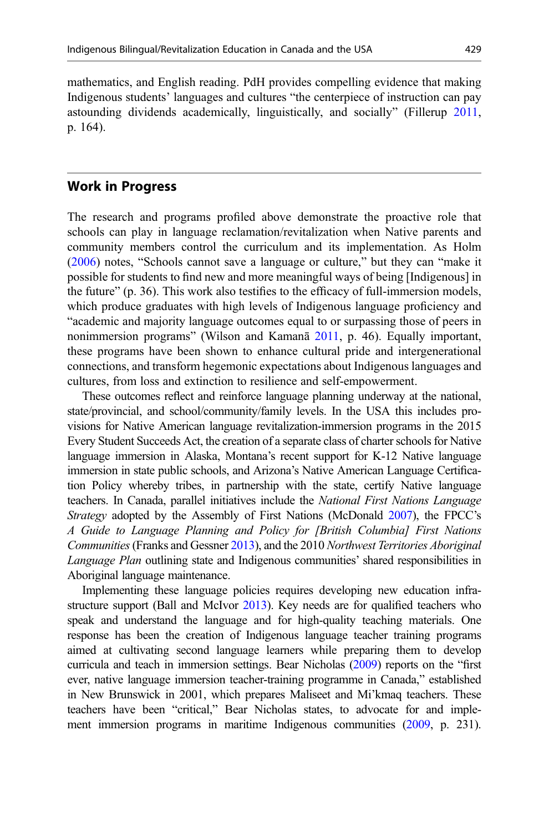mathematics, and English reading. PdH provides compelling evidence that making Indigenous students' languages and cultures "the centerpiece of instruction can pay astounding dividends academically, linguistically, and socially" (Fillerup [2011](#page-16-0), p. 164).

#### Work in Progress

The research and programs profiled above demonstrate the proactive role that schools can play in language reclamation/revitalization when Native parents and community members control the curriculum and its implementation. As Holm [\(2006](#page-16-0)) notes, "Schools cannot save a language or culture," but they can "make it possible for students to find new and more meaningful ways of being [Indigenous] in the future" (p. 36). This work also testifies to the efficacy of full-immersion models, which produce graduates with high levels of Indigenous language proficiency and "academic and majority language outcomes equal to or surpassing those of peers in nonimmersion programs" (Wilson and Kamanā [2011,](#page-17-0) p. 46). Equally important, these programs have been shown to enhance cultural pride and intergenerational connections, and transform hegemonic expectations about Indigenous languages and cultures, from loss and extinction to resilience and self-empowerment.

These outcomes reflect and reinforce language planning underway at the national, state/provincial, and school/community/family levels. In the USA this includes provisions for Native American language revitalization-immersion programs in the 2015 Every Student Succeeds Act, the creation of a separate class of charter schools for Native language immersion in Alaska, Montana's recent support for K-12 Native language immersion in state public schools, and Arizona's Native American Language Certification Policy whereby tribes, in partnership with the state, certify Native language teachers. In Canada, parallel initiatives include the National First Nations Language Strategy adopted by the Assembly of First Nations (McDonald [2007](#page-17-0)), the FPCC's A Guide to Language Planning and Policy for [British Columbia] First Nations Communities(Franks and Gessner [2013](#page-16-0)), and the 2010 Northwest Territories Aboriginal Language Plan outlining state and Indigenous communities' shared responsibilities in Aboriginal language maintenance.

Implementing these language policies requires developing new education infrastructure support (Ball and McIvor [2013\)](#page-15-0). Key needs are for qualified teachers who speak and understand the language and for high-quality teaching materials. One response has been the creation of Indigenous language teacher training programs aimed at cultivating second language learners while preparing them to develop curricula and teach in immersion settings. Bear Nicholas [\(2009](#page-15-0)) reports on the "first ever, native language immersion teacher-training programme in Canada," established in New Brunswick in 2001, which prepares Maliseet and Mi'kmaq teachers. These teachers have been "critical," Bear Nicholas states, to advocate for and implement immersion programs in maritime Indigenous communities [\(2009,](#page-15-0) p. 231).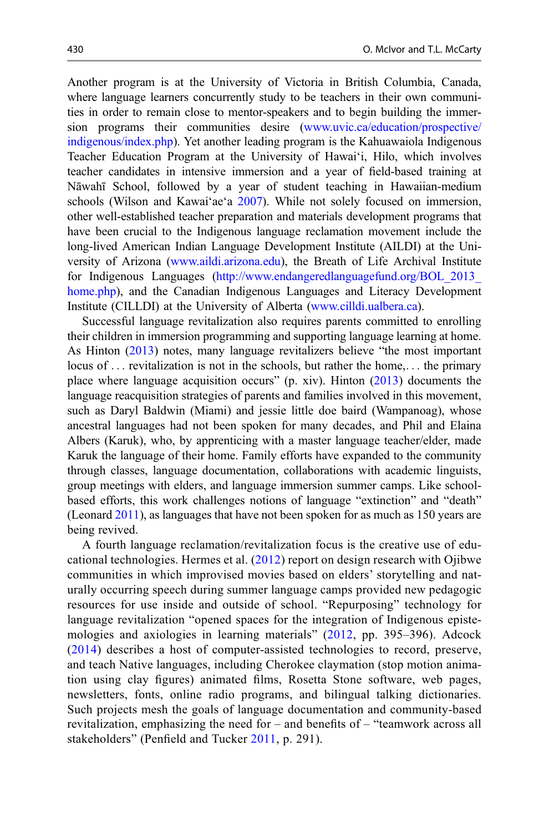Another program is at the University of Victoria in British Columbia, Canada, where language learners concurrently study to be teachers in their own communities in order to remain close to mentor-speakers and to begin building the immersion programs their communities desire [\(www.uvic.ca/education/prospective/](http://www.uvic.ca/education/prospective/indigenous/index.php) [indigenous/index.php\)](http://www.uvic.ca/education/prospective/indigenous/index.php). Yet another leading program is the Kahuawaiola Indigenous Teacher Education Program at the University of Hawai'i, Hilo, which involves teacher candidates in intensive immersion and a year of field-based training at Nāwahī School, followed by a year of student teaching in Hawaiian-medium schools (Wilson and Kawai'ae'a [2007](#page-18-0)). While not solely focused on immersion, other well-established teacher preparation and materials development programs that have been crucial to the Indigenous language reclamation movement include the long-lived American Indian Language Development Institute (AILDI) at the University of Arizona ([www.aildi.arizona.edu\)](http://www.aildi.arizona.edu/), the Breath of Life Archival Institute for Indigenous Languages [\(http://www.endangeredlanguagefund.org/BOL\\_2013\\_](http://www.endangeredlanguagefund.org/BOL_2013_home.php) [home.php\)](http://www.endangeredlanguagefund.org/BOL_2013_home.php), and the Canadian Indigenous Languages and Literacy Development Institute (CILLDI) at the University of Alberta [\(www.cilldi.ualbera.ca](http://www.cilldi.ualbera.ca/)).

Successful language revitalization also requires parents committed to enrolling their children in immersion programming and supporting language learning at home. As Hinton ([2013](#page-16-0)) notes, many language revitalizers believe "the most important locus of ... revitalization is not in the schools, but rather the home,... the primary place where language acquisition occurs" (p. xiv). Hinton [\(2013](#page-16-0)) documents the language reacquisition strategies of parents and families involved in this movement, such as Daryl Baldwin (Miami) and jessie little doe baird (Wampanoag), whose ancestral languages had not been spoken for many decades, and Phil and Elaina Albers (Karuk), who, by apprenticing with a master language teacher/elder, made Karuk the language of their home. Family efforts have expanded to the community through classes, language documentation, collaborations with academic linguists, group meetings with elders, and language immersion summer camps. Like schoolbased efforts, this work challenges notions of language "extinction" and "death" (Leonard [2011\)](#page-16-0), as languages that have not been spoken for as much as 150 years are being revived.

A fourth language reclamation/revitalization focus is the creative use of educational technologies. Hermes et al. [\(2012](#page-16-0)) report on design research with Ojibwe communities in which improvised movies based on elders' storytelling and naturally occurring speech during summer language camps provided new pedagogic resources for use inside and outside of school. "Repurposing" technology for language revitalization "opened spaces for the integration of Indigenous epistemologies and axiologies in learning materials" [\(2012,](#page-16-0) pp. 395–396). Adcock [\(2014\)](#page-15-0) describes a host of computer-assisted technologies to record, preserve, and teach Native languages, including Cherokee claymation (stop motion animation using clay figures) animated films, Rosetta Stone software, web pages, newsletters, fonts, online radio programs, and bilingual talking dictionaries. Such projects mesh the goals of language documentation and community-based revitalization, emphasizing the need for – and benefits of – "teamwork across all stakeholders" (Penfield and Tucker [2011](#page-17-0), p. 291).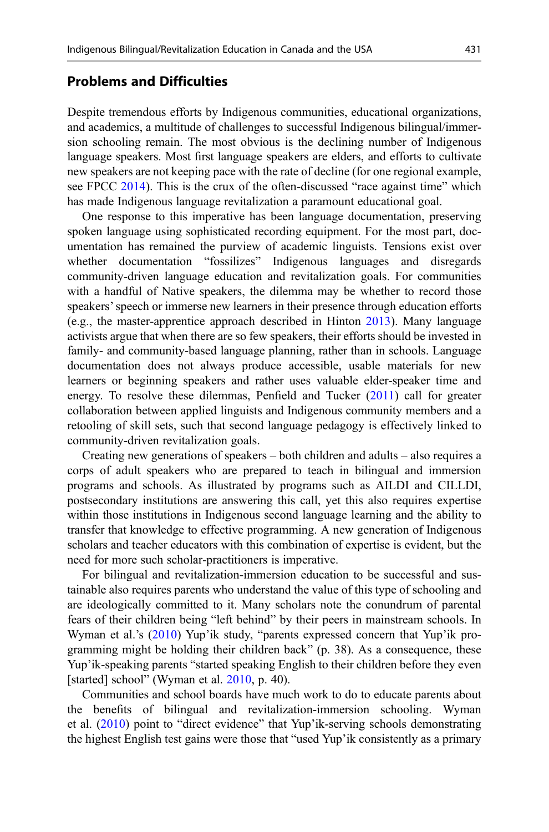## Problems and Difficulties

Despite tremendous efforts by Indigenous communities, educational organizations, and academics, a multitude of challenges to successful Indigenous bilingual/immersion schooling remain. The most obvious is the declining number of Indigenous language speakers. Most first language speakers are elders, and efforts to cultivate new speakers are not keeping pace with the rate of decline (for one regional example, see FPCC [2014\)](#page-15-0). This is the crux of the often-discussed "race against time" which has made Indigenous language revitalization a paramount educational goal.

One response to this imperative has been language documentation, preserving spoken language using sophisticated recording equipment. For the most part, documentation has remained the purview of academic linguists. Tensions exist over whether documentation "fossilizes" Indigenous languages and disregards community-driven language education and revitalization goals. For communities with a handful of Native speakers, the dilemma may be whether to record those speakers'speech or immerse new learners in their presence through education efforts (e.g., the master-apprentice approach described in Hinton [2013](#page-16-0)). Many language activists argue that when there are so few speakers, their efforts should be invested in family- and community-based language planning, rather than in schools. Language documentation does not always produce accessible, usable materials for new learners or beginning speakers and rather uses valuable elder-speaker time and energy. To resolve these dilemmas, Penfield and Tucker  $(2011)$  $(2011)$  call for greater collaboration between applied linguists and Indigenous community members and a retooling of skill sets, such that second language pedagogy is effectively linked to community-driven revitalization goals.

Creating new generations of speakers – both children and adults – also requires a corps of adult speakers who are prepared to teach in bilingual and immersion programs and schools. As illustrated by programs such as AILDI and CILLDI, postsecondary institutions are answering this call, yet this also requires expertise within those institutions in Indigenous second language learning and the ability to transfer that knowledge to effective programming. A new generation of Indigenous scholars and teacher educators with this combination of expertise is evident, but the need for more such scholar-practitioners is imperative.

For bilingual and revitalization-immersion education to be successful and sustainable also requires parents who understand the value of this type of schooling and are ideologically committed to it. Many scholars note the conundrum of parental fears of their children being "left behind" by their peers in mainstream schools. In Wyman et al.'s ([2010\)](#page-18-0) Yup'ik study, "parents expressed concern that Yup'ik programming might be holding their children back" (p. 38). As a consequence, these Yup'ik-speaking parents "started speaking English to their children before they even [started] school" (Wyman et al. [2010](#page-18-0), p. 40).

Communities and school boards have much work to do to educate parents about the benefits of bilingual and revitalization-immersion schooling. Wyman et al. ([2010](#page-18-0)) point to "direct evidence" that Yup'ik-serving schools demonstrating the highest English test gains were those that "used Yup'ik consistently as a primary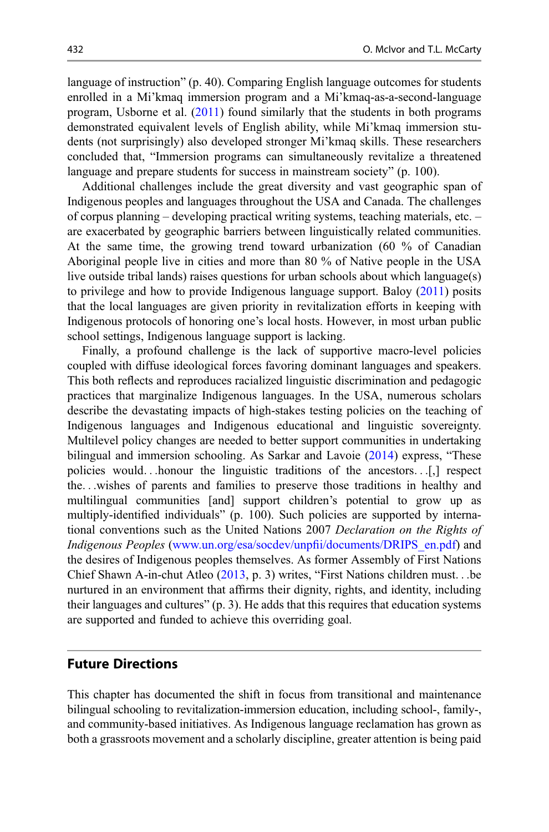language of instruction" (p. 40). Comparing English language outcomes for students enrolled in a Mi'kmaq immersion program and a Mi'kmaq-as-a-second-language program, Usborne et al. [\(2011](#page-17-0)) found similarly that the students in both programs demonstrated equivalent levels of English ability, while Mi'kmaq immersion students (not surprisingly) also developed stronger Mi'kmaq skills. These researchers concluded that, "Immersion programs can simultaneously revitalize a threatened language and prepare students for success in mainstream society" (p. 100).

Additional challenges include the great diversity and vast geographic span of Indigenous peoples and languages throughout the USA and Canada. The challenges of corpus planning – developing practical writing systems, teaching materials, etc. – are exacerbated by geographic barriers between linguistically related communities. At the same time, the growing trend toward urbanization (60 % of Canadian Aboriginal people live in cities and more than 80 % of Native people in the USA live outside tribal lands) raises questions for urban schools about which language(s) to privilege and how to provide Indigenous language support. Baloy [\(2011](#page-15-0)) posits that the local languages are given priority in revitalization efforts in keeping with Indigenous protocols of honoring one's local hosts. However, in most urban public school settings, Indigenous language support is lacking.

Finally, a profound challenge is the lack of supportive macro-level policies coupled with diffuse ideological forces favoring dominant languages and speakers. This both reflects and reproduces racialized linguistic discrimination and pedagogic practices that marginalize Indigenous languages. In the USA, numerous scholars describe the devastating impacts of high-stakes testing policies on the teaching of Indigenous languages and Indigenous educational and linguistic sovereignty. Multilevel policy changes are needed to better support communities in undertaking bilingual and immersion schooling. As Sarkar and Lavoie [\(2014](#page-17-0)) express, "These policies would...honour the linguistic traditions of the ancestors...[,] respect the...wishes of parents and families to preserve those traditions in healthy and multilingual communities [and] support children's potential to grow up as multiply-identified individuals" (p. 100). Such policies are supported by international conventions such as the United Nations 2007 Declaration on the Rights of Indigenous Peoples [\(www.un.org/esa/socdev/unp](http://www.un.org/esa/socdev/unpfii/documents/DRIPS_en.pdf)fii/documents/DRIPS\_en.pdf) and the desires of Indigenous peoples themselves. As former Assembly of First Nations Chief Shawn A-in-chut Atleo ([2013,](#page-15-0) p. 3) writes, "First Nations children must...be nurtured in an environment that affirms their dignity, rights, and identity, including their languages and cultures" (p. 3). He adds that this requires that education systems are supported and funded to achieve this overriding goal.

## Future Directions

This chapter has documented the shift in focus from transitional and maintenance bilingual schooling to revitalization-immersion education, including school-, family-, and community-based initiatives. As Indigenous language reclamation has grown as both a grassroots movement and a scholarly discipline, greater attention is being paid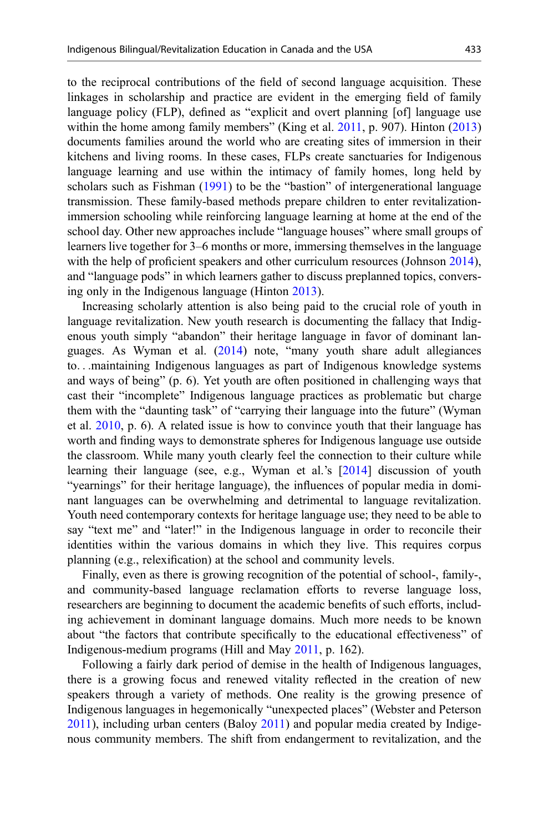to the reciprocal contributions of the field of second language acquisition. These linkages in scholarship and practice are evident in the emerging field of family language policy (FLP), defined as "explicit and overt planning [of] language use within the home among family members" (King et al. [2011](#page-16-0), p. 907). Hinton [\(2013](#page-16-0)) documents families around the world who are creating sites of immersion in their kitchens and living rooms. In these cases, FLPs create sanctuaries for Indigenous language learning and use within the intimacy of family homes, long held by scholars such as Fishman ([1991\)](#page-16-0) to be the "bastion" of intergenerational language transmission. These family-based methods prepare children to enter revitalizationimmersion schooling while reinforcing language learning at home at the end of the school day. Other new approaches include "language houses" where small groups of learners live together for 3–6 months or more, immersing themselves in the language with the help of proficient speakers and other curriculum resources (Johnson [2014\)](#page-16-0), and "language pods" in which learners gather to discuss preplanned topics, conversing only in the Indigenous language (Hinton [2013](#page-16-0)).

Increasing scholarly attention is also being paid to the crucial role of youth in language revitalization. New youth research is documenting the fallacy that Indigenous youth simply "abandon" their heritage language in favor of dominant languages. As Wyman et al. ([2014\)](#page-18-0) note, "many youth share adult allegiances to...maintaining Indigenous languages as part of Indigenous knowledge systems and ways of being" (p. 6). Yet youth are often positioned in challenging ways that cast their "incomplete" Indigenous language practices as problematic but charge them with the "daunting task" of "carrying their language into the future" (Wyman et al.  $2010$ , p. 6). A related issue is how to convince youth that their language has worth and finding ways to demonstrate spheres for Indigenous language use outside the classroom. While many youth clearly feel the connection to their culture while learning their language (see, e.g., Wyman et al.'s [\[2014](#page-18-0)] discussion of youth "yearnings" for their heritage language), the influences of popular media in dominant languages can be overwhelming and detrimental to language revitalization. Youth need contemporary contexts for heritage language use; they need to be able to say "text me" and "later!" in the Indigenous language in order to reconcile their identities within the various domains in which they live. This requires corpus planning (e.g., relexification) at the school and community levels.

Finally, even as there is growing recognition of the potential of school-, family-, and community-based language reclamation efforts to reverse language loss, researchers are beginning to document the academic benefits of such efforts, including achievement in dominant language domains. Much more needs to be known about "the factors that contribute specifically to the educational effectiveness" of Indigenous-medium programs (Hill and May [2011,](#page-16-0) p. 162).

Following a fairly dark period of demise in the health of Indigenous languages, there is a growing focus and renewed vitality reflected in the creation of new speakers through a variety of methods. One reality is the growing presence of Indigenous languages in hegemonically "unexpected places" (Webster and Peterson [2011\)](#page-17-0), including urban centers (Baloy [2011\)](#page-15-0) and popular media created by Indigenous community members. The shift from endangerment to revitalization, and the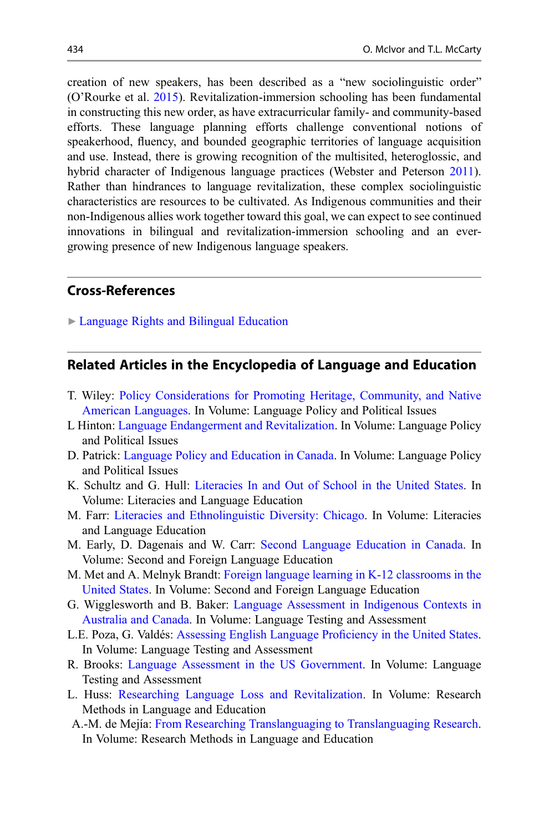creation of new speakers, has been described as a "new sociolinguistic order" (O'Rourke et al. [2015\)](#page-17-0). Revitalization-immersion schooling has been fundamental in constructing this new order, as have extracurricular family- and community-based efforts. These language planning efforts challenge conventional notions of speakerhood, fluency, and bounded geographic territories of language acquisition and use. Instead, there is growing recognition of the multisited, heteroglossic, and hybrid character of Indigenous language practices (Webster and Peterson [2011\)](#page-17-0). Rather than hindrances to language revitalization, these complex sociolinguistic characteristics are resources to be cultivated. As Indigenous communities and their non-Indigenous allies work together toward this goal, we can expect to see continued innovations in bilingual and revitalization-immersion schooling and an evergrowing presence of new Indigenous language speakers.

## Cross-References

▶ [Language Rights and Bilingual Education](http://dx.doi.org/10.1007/978-3-319-02258-1_6)

## Related Articles in the Encyclopedia of Language and Education

- T. Wiley: [Policy Considerations for Promoting Heritage, Community, and Native](http://dx.doi.org/10.1007/978-3-319-02344-1_19) [American Languages](http://dx.doi.org/10.1007/978-3-319-02344-1_19). In Volume: Language Policy and Political Issues
- L Hinton: [Language Endangerment and Revitalization.](http://dx.doi.org/10.1007/978-3-319-02344-1_21) In Volume: Language Policy and Political Issues
- D. Patrick: [Language Policy and Education in Canada](http://dx.doi.org/10.1007/978-3-319-02344-1_30). In Volume: Language Policy and Political Issues
- K. Schultz and G. Hull: [Literacies In and Out of School in the United States](http://dx.doi.org/10.1007/978-3-319-02252-9_20). In Volume: Literacies and Language Education
- M. Farr: [Literacies and Ethnolinguistic Diversity: Chicago.](http://dx.doi.org/10.1007/978-3-319-02252-9_26) In Volume: Literacies and Language Education
- M. Early, D. Dagenais and W. Carr: [Second Language Education in Canada.](http://dx.doi.org/10.1007/978-3-319-02246-8_27) In Volume: Second and Foreign Language Education
- M. Met and A. Melnyk Brandt: [Foreign language learning in K-12 classrooms in the](http://dx.doi.org/10.1007/978-3-319-02246-8_17) [United States](http://dx.doi.org/10.1007/978-3-319-02246-8_17). In Volume: Second and Foreign Language Education
- G. Wigglesworth and B. Baker: [Language Assessment in Indigenous Contexts in](http://dx.doi.org/10.1007/978-3-319-02261-1_20) [Australia and Canada.](http://dx.doi.org/10.1007/978-3-319-02261-1_20) In Volume: Language Testing and Assessment
- L.E. Poza, G. Valdés: [Assessing English Language Pro](http://dx.doi.org/10.1007/978-3-319-02261-1_30)ficiency in the United States. In Volume: Language Testing and Assessment
- R. Brooks: [Language Assessment in the US Government](http://dx.doi.org/10.1007/978-3-319-02261-1_4). In Volume: Language Testing and Assessment
- L. Huss: [Researching Language Loss and Revitalization.](http://dx.doi.org/10.1007/978-3-319-02249-9_7) In Volume: Research Methods in Language and Education
- A.-M. de Mejía: [From Researching Translanguaging to Translanguaging Research](http://dx.doi.org/10.1007/978-3-319-02249-9_16). In Volume: Research Methods in Language and Education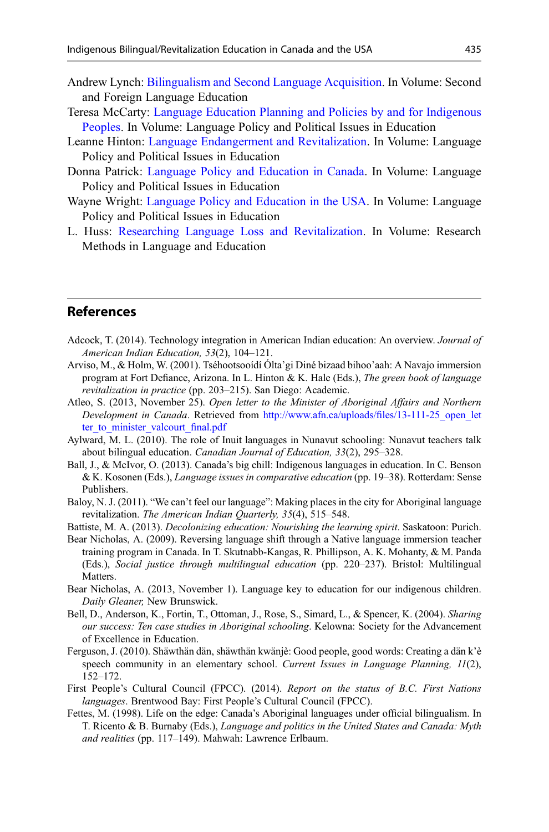- <span id="page-15-0"></span>Andrew Lynch: [Bilingualism and Second Language Acquisition.](http://dx.doi.org/10.1007/978-3-319-02246-8_5) In Volume: Second and Foreign Language Education
- Teresa McCarty: [Language Education Planning and Policies by and for Indigenous](http://dx.doi.org/10.1007/978-3-319-02344-1_11) [Peoples.](http://dx.doi.org/10.1007/978-3-319-02344-1_11) In Volume: Language Policy and Political Issues in Education
- Leanne Hinton: [Language Endangerment and Revitalization.](http://dx.doi.org/10.1007/978-3-319-02344-1_21) In Volume: Language Policy and Political Issues in Education
- Donna Patrick: [Language Policy and Education in Canada.](http://dx.doi.org/10.1007/978-3-319-02344-1_30) In Volume: Language Policy and Political Issues in Education
- Wayne Wright: [Language Policy and Education in the USA](http://dx.doi.org/10.1007/978-3-319-02344-1_29). In Volume: Language Policy and Political Issues in Education
- L. Huss: [Researching Language Loss and Revitalization.](http://dx.doi.org/10.1007/978-3-319-02249-9_7) In Volume: Research Methods in Language and Education

## References

- Adcock, T. (2014). Technology integration in American Indian education: An overview. Journal of American Indian Education, 53(2), 104–121.
- Arviso, M., & Holm, W. (2001). Tséhootsooídí Ólta'gi Diné bizaad bihoo'aah: A Navajo immersion program at Fort Defiance, Arizona. In L. Hinton & K. Hale (Eds.), The green book of language revitalization in practice (pp. 203–215). San Diego: Academic.
- Atleo, S. (2013, November 25). Open letter to the Minister of Aboriginal Affairs and Northern Development in Canada. Retrieved from [http://www.afn.ca/uploads/](http://www.afn.ca/uploads/files/13-111-25_open_letter_to_minister_valcourt_final.pdf)files/13-111-25 open let ter to minister valcourt final.pdf
- Aylward, M. L. (2010). The role of Inuit languages in Nunavut schooling: Nunavut teachers talk about bilingual education. Canadian Journal of Education, 33(2), 295–328.
- Ball, J., & McIvor, O. (2013). Canada's big chill: Indigenous languages in education. In C. Benson & K. Kosonen (Eds.), Language issues in comparative education (pp. 19–38). Rotterdam: Sense Publishers.
- Baloy, N. J. (2011). "We can't feel our language": Making places in the city for Aboriginal language revitalization. The American Indian Quarterly, 35(4), 515–548.
- Battiste, M. A. (2013). Decolonizing education: Nourishing the learning spirit. Saskatoon: Purich.
- Bear Nicholas, A. (2009). Reversing language shift through a Native language immersion teacher training program in Canada. In T. Skutnabb-Kangas, R. Phillipson, A. K. Mohanty, & M. Panda (Eds.), Social justice through multilingual education (pp. 220–237). Bristol: Multilingual Matters.
- Bear Nicholas, A. (2013, November 1). Language key to education for our indigenous children. Daily Gleaner, New Brunswick.
- Bell, D., Anderson, K., Fortin, T., Ottoman, J., Rose, S., Simard, L., & Spencer, K. (2004). Sharing our success: Ten case studies in Aboriginal schooling. Kelowna: Society for the Advancement of Excellence in Education.
- Ferguson, J. (2010). Shäwthän dän, shäwthän kwänjè: Good people, good words: Creating a dän k'è speech community in an elementary school. Current Issues in Language Planning,  $11(2)$ , 152–172.
- First People's Cultural Council (FPCC). (2014). Report on the status of B.C. First Nations languages. Brentwood Bay: First People's Cultural Council (FPCC).
- Fettes, M. (1998). Life on the edge: Canada's Aboriginal languages under official bilingualism. In T. Ricento & B. Burnaby (Eds.), Language and politics in the United States and Canada: Myth and realities (pp. 117–149). Mahwah: Lawrence Erlbaum.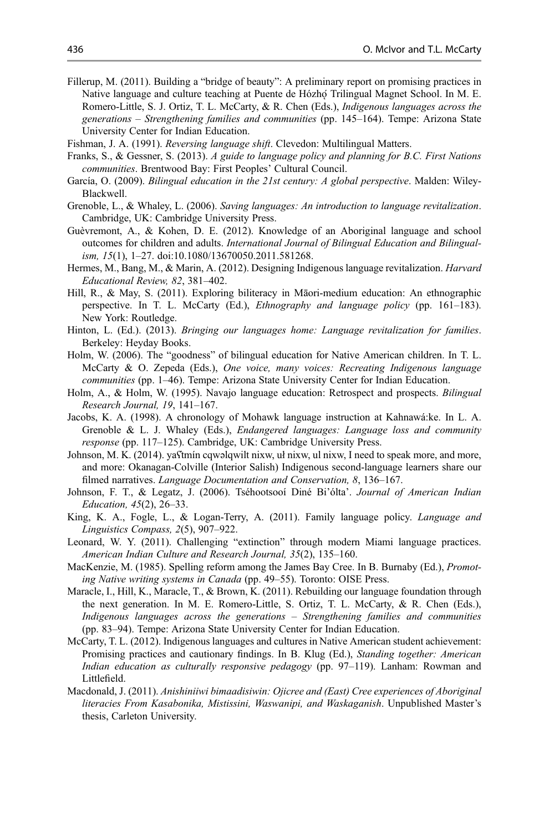- <span id="page-16-0"></span>Fillerup, M. (2011). Building a "bridge of beauty": A preliminary report on promising practices in Native language and culture teaching at Puente de Hózhó Trilingual Magnet School. In M. E. Romero-Little, S. J. Ortiz, T. L. McCarty, & R. Chen (Eds.), *Indigenous languages across the* generations – Strengthening families and communities (pp. 145–164). Tempe: Arizona State University Center for Indian Education.
- Fishman, J. A. (1991). Reversing language shift. Clevedon: Multilingual Matters.
- Franks, S., & Gessner, S. (2013). A guide to language policy and planning for B.C. First Nations communities. Brentwood Bay: First Peoples' Cultural Council.
- García, O. (2009). Bilingual education in the 21st century: A global perspective. Malden: Wiley-Blackwell.
- Grenoble, L., & Whaley, L. (2006). Saving languages: An introduction to language revitalization. Cambridge, UK: Cambridge University Press.
- Guèvremont, A., & Kohen, D. E. (2012). Knowledge of an Aboriginal language and school outcomes for children and adults. International Journal of Bilingual Education and Bilingualism, 15(1), 1–27. doi:10.1080/13670050.2011.581268.
- Hermes, M., Bang, M., & Marin, A. (2012). Designing Indigenous language revitalization. *Harvard* Educational Review, 82, 381–402.
- Hill, R., & May, S. (2011). Exploring biliteracy in Māori-medium education: An ethnographic perspective. In T. L. McCarty (Ed.), Ethnography and language policy (pp. 161–183). New York: Routledge.
- Hinton, L. (Ed.). (2013). Bringing our languages home: Language revitalization for families. Berkeley: Heyday Books.
- Holm, W. (2006). The "goodness" of bilingual education for Native American children. In T. L. McCarty & O. Zepeda (Eds.), *One voice, many voices: Recreating Indigenous language* communities (pp. 1–46). Tempe: Arizona State University Center for Indian Education.
- Holm, A., & Holm, W. (1995). Navajo language education: Retrospect and prospects. Bilingual Research Journal, 19, 141–167.
- Jacobs, K. A. (1998). A chronology of Mohawk language instruction at Kahnawá:ke. In L. A. Grenoble & L. J. Whaley (Eds.), *Endangered languages: Language loss and community* response (pp. 117–125). Cambridge, UK: Cambridge University Press.
- Johnson, M. K. (2014). yaʕ̓tmín cqwəlqwilt nixw, uł nixw, ul nixw, I need to speak more, and more, and more: Okanagan-Colville (Interior Salish) Indigenous second-language learners share our filmed narratives. Language Documentation and Conservation, 8, 136–167.
- Johnson, F. T., & Legatz, J. (2006). Tséhootsooí Diné Bi'ólta'. Journal of American Indian Education, 45(2), 26–33.
- King, K. A., Fogle, L., & Logan-Terry, A. (2011). Family language policy. Language and Linguistics Compass, 2(5), 907–922.
- Leonard, W. Y. (2011). Challenging "extinction" through modern Miami language practices. American Indian Culture and Research Journal, 35(2), 135–160.
- MacKenzie, M. (1985). Spelling reform among the James Bay Cree. In B. Burnaby (Ed.), *Promot*ing Native writing systems in Canada (pp. 49–55). Toronto: OISE Press.
- Maracle, I., Hill, K., Maracle, T., & Brown, K. (2011). Rebuilding our language foundation through the next generation. In M. E. Romero-Little, S. Ortiz, T. L. McCarty, & R. Chen (Eds.), Indigenous languages across the generations – Strengthening families and communities (pp. 83–94). Tempe: Arizona State University Center for Indian Education.
- McCarty, T. L. (2012). Indigenous languages and cultures in Native American student achievement: Promising practices and cautionary findings. In B. Klug (Ed.), Standing together: American Indian education as culturally responsive pedagogy (pp. 97–119). Lanham: Rowman and Littlefield.
- Macdonald, J. (2011). Anishiniiwi bimaadisiwin: Ojicree and (East) Cree experiences of Aboriginal literacies From Kasabonika, Mistissini, Waswanipi, and Waskaganish. Unpublished Master's thesis, Carleton University.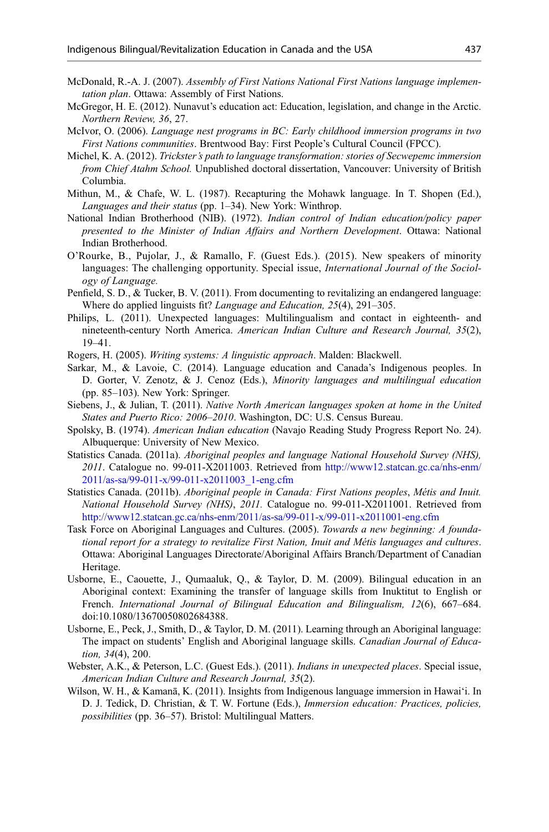- <span id="page-17-0"></span>McDonald, R.-A. J. (2007). Assembly of First Nations National First Nations language implementation plan. Ottawa: Assembly of First Nations.
- McGregor, H. E. (2012). Nunavut's education act: Education, legislation, and change in the Arctic. Northern Review, 36, 27.
- McIvor, O. (2006). Language nest programs in BC: Early childhood immersion programs in two First Nations communities. Brentwood Bay: First People's Cultural Council (FPCC).
- Michel, K. A. (2012). Trickster's path to language transformation: stories of Secwepemc immersion from Chief Atahm School. Unpublished doctoral dissertation, Vancouver: University of British Columbia.
- Mithun, M., & Chafe, W. L. (1987). Recapturing the Mohawk language. In T. Shopen (Ed.), Languages and their status (pp. 1–34). New York: Winthrop.
- National Indian Brotherhood (NIB). (1972). Indian control of Indian education/policy paper presented to the Minister of Indian Affairs and Northern Development. Ottawa: National Indian Brotherhood.
- O'Rourke, B., Pujolar, J., & Ramallo, F. (Guest Eds.). (2015). New speakers of minority languages: The challenging opportunity. Special issue, *International Journal of the Sociol*ogy of Language.
- Penfield, S. D., & Tucker, B. V. (2011). From documenting to revitalizing an endangered language: Where do applied linguists fit? Language and Education, 25(4), 291–305.
- Philips, L. (2011). Unexpected languages: Multilingualism and contact in eighteenth- and nineteenth-century North America. American Indian Culture and Research Journal, 35(2), 19–41.
- Rogers, H. (2005). Writing systems: A linguistic approach. Malden: Blackwell.
- Sarkar, M., & Lavoie, C. (2014). Language education and Canada's Indigenous peoples. In D. Gorter, V. Zenotz, & J. Cenoz (Eds.), Minority languages and multilingual education (pp. 85–103). New York: Springer.
- Siebens, J., & Julian, T. (2011). Native North American languages spoken at home in the United States and Puerto Rico: 2006-2010. Washington, DC: U.S. Census Bureau.
- Spolsky, B. (1974). American Indian education (Navajo Reading Study Progress Report No. 24). Albuquerque: University of New Mexico.
- Statistics Canada. (2011a). Aboriginal peoples and language National Household Survey (NHS), 2011. Catalogue no. 99-011-X2011003. Retrieved from [http://www12.statcan.gc.ca/nhs-enm/](http://www12.statcan.gc.ca/nhs-enm/2011/as-sa/99-011-x/99-011-x2011003_1-eng.cfm) [2011/as-sa/99-011-x/99-011-x2011003\\_1-eng.cfm](http://www12.statcan.gc.ca/nhs-enm/2011/as-sa/99-011-x/99-011-x2011003_1-eng.cfm)
- Statistics Canada. (2011b). Aboriginal people in Canada: First Nations peoples, Métis and Inuit. National Household Survey (NHS), 2011. Catalogue no. 99-011-X2011001. Retrieved from <http://www12.statcan.gc.ca/nhs-enm/2011/as-sa/99-011-x/99-011-x2011001-eng.cfm>
- Task Force on Aboriginal Languages and Cultures. (2005). Towards a new beginning: A foundational report for a strategy to revitalize First Nation, Inuit and Métis languages and cultures. Ottawa: Aboriginal Languages Directorate/Aboriginal Affairs Branch/Department of Canadian Heritage.
- Usborne, E., Caouette, J., Qumaaluk, Q., & Taylor, D. M. (2009). Bilingual education in an Aboriginal context: Examining the transfer of language skills from Inuktitut to English or French. International Journal of Bilingual Education and Bilingualism, 12(6), 667–684. doi:10.1080/13670050802684388.
- Usborne, E., Peck, J., Smith, D., & Taylor, D. M. (2011). Learning through an Aboriginal language: The impact on students' English and Aboriginal language skills. Canadian Journal of Education, 34(4), 200.
- Webster, A.K., & Peterson, L.C. (Guest Eds.). (2011). *Indians in unexpected places*. Special issue, American Indian Culture and Research Journal, 35(2).
- Wilson, W. H., & Kamanā, K. (2011). Insights from Indigenous language immersion in Hawai'i. In D. J. Tedick, D. Christian, & T. W. Fortune (Eds.), *Immersion education: Practices, policies,* possibilities (pp. 36–57). Bristol: Multilingual Matters.